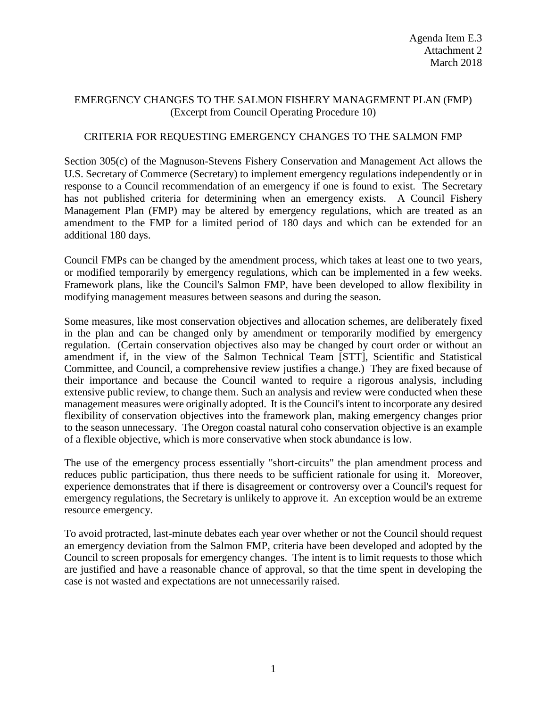## EMERGENCY CHANGES TO THE SALMON FISHERY MANAGEMENT PLAN (FMP) (Excerpt from Council Operating Procedure 10)

## CRITERIA FOR REQUESTING EMERGENCY CHANGES TO THE SALMON FMP

Section 305(c) of the Magnuson-Stevens Fishery Conservation and Management Act allows the U.S. Secretary of Commerce (Secretary) to implement emergency regulations independently or in response to a Council recommendation of an emergency if one is found to exist. The Secretary has not published criteria for determining when an emergency exists. A Council Fishery Management Plan (FMP) may be altered by emergency regulations, which are treated as an amendment to the FMP for a limited period of 180 days and which can be extended for an additional 180 days.

Council FMPs can be changed by the amendment process, which takes at least one to two years, or modified temporarily by emergency regulations, which can be implemented in a few weeks. Framework plans, like the Council's Salmon FMP, have been developed to allow flexibility in modifying management measures between seasons and during the season.

Some measures, like most conservation objectives and allocation schemes, are deliberately fixed in the plan and can be changed only by amendment or temporarily modified by emergency regulation. (Certain conservation objectives also may be changed by court order or without an amendment if, in the view of the Salmon Technical Team [STT], Scientific and Statistical Committee, and Council, a comprehensive review justifies a change.) They are fixed because of their importance and because the Council wanted to require a rigorous analysis, including extensive public review, to change them. Such an analysis and review were conducted when these management measures were originally adopted. It is the Council's intent to incorporate any desired flexibility of conservation objectives into the framework plan, making emergency changes prior to the season unnecessary. The Oregon coastal natural coho conservation objective is an example of a flexible objective, which is more conservative when stock abundance is low.

The use of the emergency process essentially "short-circuits" the plan amendment process and reduces public participation, thus there needs to be sufficient rationale for using it. Moreover, experience demonstrates that if there is disagreement or controversy over a Council's request for emergency regulations, the Secretary is unlikely to approve it. An exception would be an extreme resource emergency.

To avoid protracted, last-minute debates each year over whether or not the Council should request an emergency deviation from the Salmon FMP, criteria have been developed and adopted by the Council to screen proposals for emergency changes. The intent is to limit requests to those which are justified and have a reasonable chance of approval, so that the time spent in developing the case is not wasted and expectations are not unnecessarily raised.